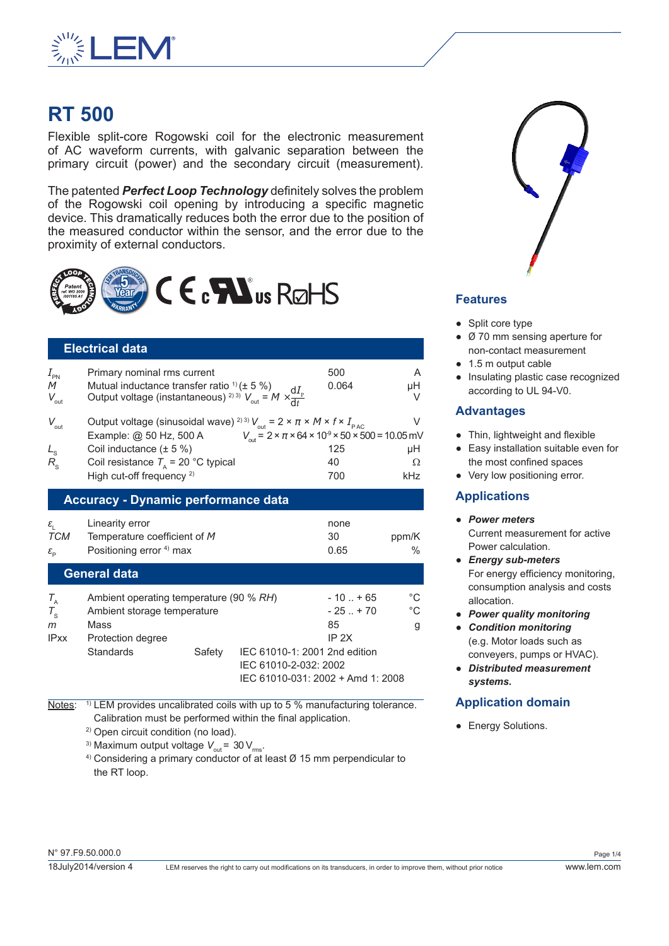

# **RT 500**

Flexible split-core Rogowski coil for the electronic measurement of AC waveform currents, with galvanic separation between the primary circuit (power) and the secondary circuit (measurement).

The patented *Perfect Loop Technology* definitely solves the problem of the Rogowski coil opening by introducing a specific magnetic device. This dramatically reduces both the error due to the position of the measured conductor within the sensor, and the error due to the proximity of external conductors.



## **Electrical data**

| $I_{\text{PN}}$<br>M<br>$V_{\rm out}$                                                   | Primary nominal rms current<br>Mutual inductance transfer ratio $(1 + 5 \%)$<br>Mutual inductance transier ratio $\frac{1}{2}$ ( $\pm$ 5 %)<br>Output voltage (instantaneous) <sup>2)3)</sup> $V_{\text{out}} = M \times \frac{dI_p}{dt}$                           | 500<br>0.064                                                                                                        | A<br>μH<br>V             |
|-----------------------------------------------------------------------------------------|---------------------------------------------------------------------------------------------------------------------------------------------------------------------------------------------------------------------------------------------------------------------|---------------------------------------------------------------------------------------------------------------------|--------------------------|
| $V_{\text{out}}$<br>$L_{\rm s}$ <sub>R<sub>s</sub></sub>                                | Output voltage (sinusoidal wave) <sup>2)3)</sup> $V_{\text{out}} = 2 \times \pi \times M \times f \times I_{\text{PAC}}$<br>Example: @ 50 Hz, 500 A<br>Coil inductance $(\pm 5\%)$<br>Coil resistance $T_a$ = 20 °C typical<br>High cut-off frequency <sup>2)</sup> | $V_{\text{out}} = 2 \times \pi \times 64 \times 10^{9} \times 50 \times 500 = 10.05 \text{ mV}$<br>125<br>40<br>700 | $\vee$<br>μH<br>Ω<br>kHz |
|                                                                                         | <b>Accuracy - Dynamic performance data</b>                                                                                                                                                                                                                          |                                                                                                                     |                          |
| $\varepsilon_{\text{\tiny{l}}}$<br>TCM<br>$\varepsilon_{\scriptscriptstyle \mathrm{D}}$ | Linearity error<br>Temperature coefficient of M<br>Positioning error <sup>4)</sup> max                                                                                                                                                                              | none<br>30<br>0.65                                                                                                  | ppm/K<br>℅               |
| General data                                                                            |                                                                                                                                                                                                                                                                     |                                                                                                                     |                          |

| $T_{\rm A}$ | Ambient operating temperature (90 % RH) |        |                                   | $-10$ $+65$                   | °C |
|-------------|-----------------------------------------|--------|-----------------------------------|-------------------------------|----|
| $T_{\rm s}$ | Ambient storage temperature             |        |                                   | $-25$ $+70$                   | °C |
| m           | Mass                                    |        |                                   | 85                            | g  |
| <b>IPxx</b> | Protection degree                       |        |                                   | IP 2X                         |    |
|             | <b>Standards</b>                        | Safety |                                   | IEC 61010-1: 2001 2nd edition |    |
|             |                                         |        | IEC 61010-2-032: 2002             |                               |    |
|             |                                         |        | IEC 61010-031: 2002 + Amd 1: 2008 |                               |    |

Notes: <sup>1)</sup> LEM provides uncalibrated coils with up to 5 % manufacturing tolerance. Calibration must be performed within the final application.

2) Open circuit condition (no load).

<sup>3)</sup> Maximum output voltage  $V_{\text{out}}$  = 30  $V_{\text{rms}}$ .

 $4)$  Considering a primary conductor of at least  $\varnothing$  15 mm perpendicular to the RT loop.



## **Features**

- Split core type
- Ø 70 mm sensing aperture for non-contact measurement
- 1.5 m output cable
- Insulating plastic case recognized according to UL 94-V0.

## **Advantages**

- Thin, lightweight and flexible
- Easy installation suitable even for the most confined spaces
- Very low positioning error.

## **Applications**

- *Power meters* Current measurement for active Power calculation.
- *Energy sub-meters* For energy efficiency monitoring, consumption analysis and costs allocation.
- *Power quality monitoring*
- *Condition monitoring* (e.g. Motor loads such as conveyers, pumps or HVAC).
- *Distributed measurement systems.*

# **Application domain**

• Energy Solutions.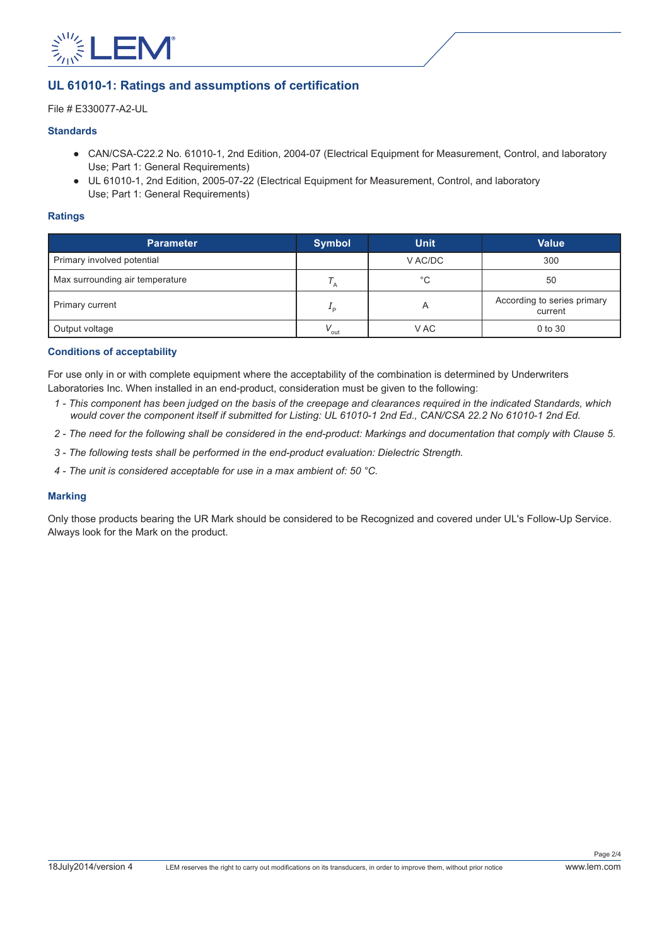

## **UL 61010-1: Ratings and assumptions of certification**

File # E330077-A2-UL

#### **Standards**

- CAN/CSA-C22.2 No. 61010-1, 2nd Edition, 2004-07 (Electrical Equipment for Measurement, Control, and laboratory Use; Part 1: General Requirements)
- UL 61010-1, 2nd Edition, 2005-07-22 (Electrical Equipment for Measurement, Control, and laboratory Use; Part 1: General Requirements)

#### **Ratings**

| <b>Parameter</b>                | <b>Symbol</b>    | <b>Unit</b> | <b>Value</b>                           |
|---------------------------------|------------------|-------------|----------------------------------------|
| Primary involved potential      |                  | V AC/DC     | 300                                    |
| Max surrounding air temperature |                  | $^{\circ}C$ | 50                                     |
| Primary current                 | ם ∸              | A           | According to series primary<br>current |
| Output voltage                  | $V_{\text{out}}$ | V AC        | 0 to 30                                |

#### **Conditions of acceptability**

For use only in or with complete equipment where the acceptability of the combination is determined by Underwriters Laboratories Inc. When installed in an end-product, consideration must be given to the following:

- *1 This component has been judged on the basis of the creepage and clearances required in the indicated Standards, which would cover the component itself if submitted for Listing: UL 61010-1 2nd Ed., CAN/CSA 22.2 No 61010-1 2nd Ed.*
- *2 The need for the following shall be considered in the end-product: Markings and documentation that comply with Clause 5.*
- *3 The following tests shall be performed in the end-product evaluation: Dielectric Strength.*
- *4 The unit is considered acceptable for use in a max ambient of: 50 °C.*

#### **Marking**

Only those products bearing the UR Mark should be considered to be Recognized and covered under UL's Follow-Up Service. Always look for the Mark on the product.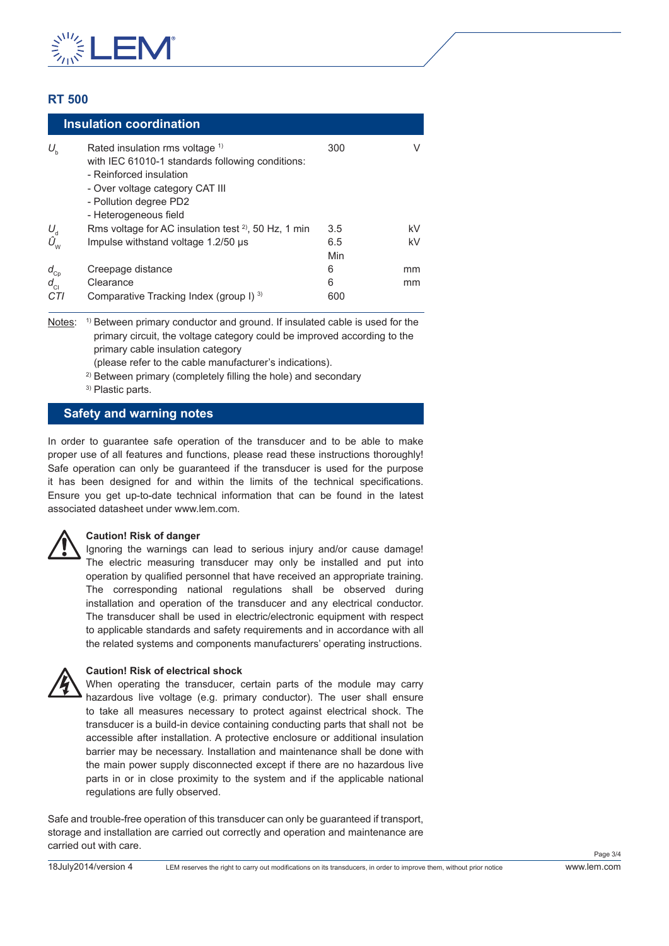

## **RT 500**

|                                        | <b>Insulation coordination</b>                                                                                                                                                                                  |            |    |
|----------------------------------------|-----------------------------------------------------------------------------------------------------------------------------------------------------------------------------------------------------------------|------------|----|
| $U_{\rm b}$                            | Rated insulation rms voltage <sup>1)</sup><br>with IEC 61010-1 standards following conditions:<br>- Reinforced insulation<br>- Over voltage category CAT III<br>- Pollution degree PD2<br>- Heterogeneous field | 300        |    |
|                                        | Rms voltage for AC insulation test $2^2$ , 50 Hz, 1 min                                                                                                                                                         | 3.5        | kV |
| $U_{\text{d}}$<br>$\hat{U}_{\text{w}}$ | Impulse withstand voltage 1.2/50 µs                                                                                                                                                                             | 6.5<br>Min | kV |
| $d_{Cp}$                               | Creepage distance                                                                                                                                                                                               | 6          | mm |
| $d_{\rm{Cl}}$                          | Clearance                                                                                                                                                                                                       | 6          | mm |
| CTI                                    | Comparative Tracking Index (group I) 3)                                                                                                                                                                         | 600        |    |

Notes: <sup>1)</sup> Between primary conductor and ground. If insulated cable is used for the primary circuit, the voltage category could be improved according to the primary cable insulation category

(please refer to the cable manufacturer's indications).

<sup>2)</sup> Between primary (completely filling the hole) and secondary

3) Plastic parts.

### **Safety and warning notes**

In order to guarantee safe operation of the transducer and to be able to make proper use of all features and functions, please read these instructions thoroughly! Safe operation can only be guaranteed if the transducer is used for the purpose it has been designed for and within the limits of the technical specifications. Ensure you get up-to-date technical information that can be found in the latest associated datasheet under www.lem.com.

#### **Caution! Risk of danger**

Ignoring the warnings can lead to serious injury and/or cause damage! The electric measuring transducer may only be installed and put into operation by qualified personnel that have received an appropriate training. The corresponding national regulations shall be observed during installation and operation of the transducer and any electrical conductor. The transducer shall be used in electric/electronic equipment with respect to applicable standards and safety requirements and in accordance with all the related systems and components manufacturers' operating instructions.



#### **Caution! Risk of electrical shock**

When operating the transducer, certain parts of the module may carry hazardous live voltage (e.g. primary conductor). The user shall ensure to take all measures necessary to protect against electrical shock. The transducer is a build-in device containing conducting parts that shall not be accessible after installation. A protective enclosure or additional insulation barrier may be necessary. Installation and maintenance shall be done with the main power supply disconnected except if there are no hazardous live parts in or in close proximity to the system and if the applicable national regulations are fully observed.

Safe and trouble-free operation of this transducer can only be guaranteed if transport, storage and installation are carried out correctly and operation and maintenance are carried out with care.